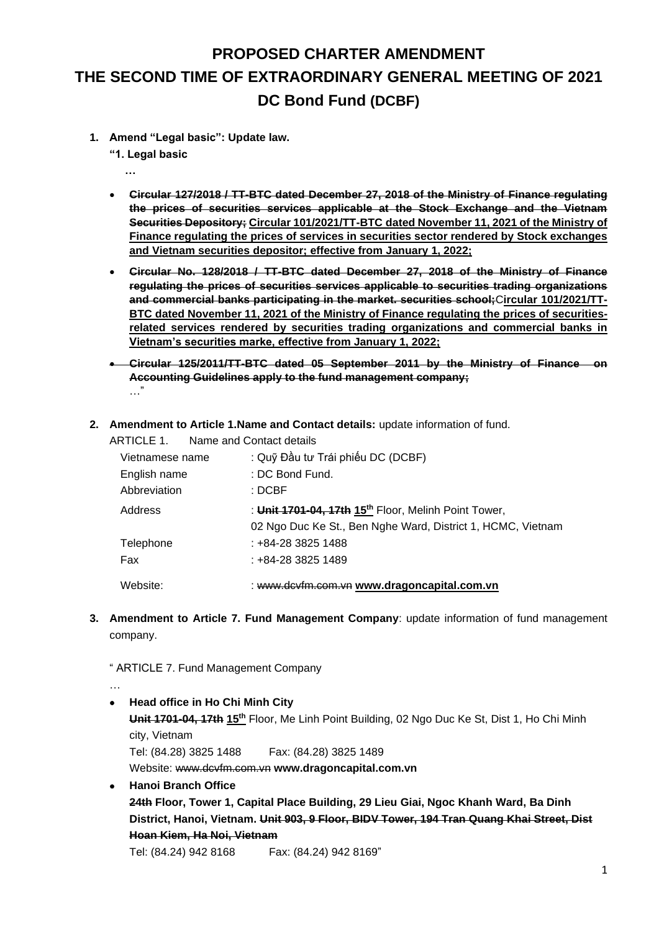## **PROPOSED CHARTER AMENDMENT THE SECOND TIME OF EXTRAORDINARY GENERAL MEETING OF 2021 DC Bond Fund (DCBF)**

**1. Amend "Legal basic": Update law.**

**"1. Legal basic**

 **…**

- **Circular 127/2018 / TT-BTC dated December 27, 2018 of the Ministry of Finance regulating the prices of securities services applicable at the Stock Exchange and the Vietnam Securities Depository; Circular 101/2021/TT-BTC dated November 11, 2021 of the Ministry of Finance regulating the prices of services in securities sector rendered by Stock exchanges and Vietnam securities depositor; effective from January 1, 2022;**
- **Circular No. 128/2018 / TT-BTC dated December 27, 2018 of the Ministry of Finance regulating the prices of securities services applicable to securities trading organizations and commercial banks participating in the market. securities school;**C**ircular 101/2021/TT-BTC dated November 11, 2021 of the Ministry of Finance regulating the prices of securitiesrelated services rendered by securities trading organizations and commercial banks in Vietnam's securities marke, effective from January 1, 2022;**
- **[Circular 125/2011/TT-BTC dated 05 September 2011 by the Ministry of Finance on](http://translate.googleusercontent.com/translate_c?depth=1&ei=UI8nUevrAcmaiAf3uoGACA&hl=en&prev=/search%3Fq%3D%25E2%2580%25A2%2509Th%25C3%25B4ng%2Bt%25C6%25B0%2B125/2011/TT-BTC%2Bng%25C3%25A0y%2B5%2Bth%25C3%25A1ng%2B9%2Bn%25C4%2583m%2B2011%2Bc%25E1%25BB%25A7a%2BB%25E1%25BB%2599%2BT%25C3%25A0i%2Bch%25C3%25ADnh%2B%2Bh%25C6%25B0%25E1%25BB%259Bng%2Bd%25E1%25BA%25ABn%2Bk%25E1%25BA%25BF%2Bto%25C3%25A1n%2B%25C3%25A1p%2Bd%25E1%25BB%25A5ng%2B%25C4%2591%25E1%25BB%2591i%2Bv%25E1%25BB%259Bi%2BC%25C3%25B4ng%2Bty%2Bqu%25E1%25BA%25A3n%2Bl%25C3%25BD%2BQu%25E1%25BB%25B9%2B%253B%26hl%3Den%26client%3Dfirefox-a%26hs%3DFeG%26rls%3Dorg.mozilla:en-US:official&rurl=translate.google.com.vn&sl=vi&u=http://www.ketoanthue.vn/index.php/van-ban-huong-dan-thue-moi/2256-thong-tu-so-1252011tt-btc-cua-bo-tai-chinh-ngay-05092011-huong-dan-ke-toan-ap-dung-doi-voi-cong-ty-quan-ly-quy.html&usg=ALkJrhg8NL06FFJFsZJfENueUQefhSmPyg)  [Accounting Guidelines apply to the fund management company;](http://translate.googleusercontent.com/translate_c?depth=1&ei=UI8nUevrAcmaiAf3uoGACA&hl=en&prev=/search%3Fq%3D%25E2%2580%25A2%2509Th%25C3%25B4ng%2Bt%25C6%25B0%2B125/2011/TT-BTC%2Bng%25C3%25A0y%2B5%2Bth%25C3%25A1ng%2B9%2Bn%25C4%2583m%2B2011%2Bc%25E1%25BB%25A7a%2BB%25E1%25BB%2599%2BT%25C3%25A0i%2Bch%25C3%25ADnh%2B%2Bh%25C6%25B0%25E1%25BB%259Bng%2Bd%25E1%25BA%25ABn%2Bk%25E1%25BA%25BF%2Bto%25C3%25A1n%2B%25C3%25A1p%2Bd%25E1%25BB%25A5ng%2B%25C4%2591%25E1%25BB%2591i%2Bv%25E1%25BB%259Bi%2BC%25C3%25B4ng%2Bty%2Bqu%25E1%25BA%25A3n%2Bl%25C3%25BD%2BQu%25E1%25BB%25B9%2B%253B%26hl%3Den%26client%3Dfirefox-a%26hs%3DFeG%26rls%3Dorg.mozilla:en-US:official&rurl=translate.google.com.vn&sl=vi&u=http://www.ketoanthue.vn/index.php/van-ban-huong-dan-thue-moi/2256-thong-tu-so-1252011tt-btc-cua-bo-tai-chinh-ngay-05092011-huong-dan-ke-toan-ap-dung-doi-voi-cong-ty-quan-ly-quy.html&usg=ALkJrhg8NL06FFJFsZJfENueUQefhSmPyg)** …"
- **2. Amendment to Article 1.Name and Contact details:** update information of fund.

|                 | ARTICLE 1. Name and Contact details                              |
|-----------------|------------------------------------------------------------------|
| Vietnamese name | : Quỹ Đầu tư Trái phiếu DC (DCBF)                                |
| English name    | : DC Bond Fund.                                                  |
| Abbreviation    | : DCBF                                                           |
| Address         | : Unit 1701-04, 17th 15 <sup>th</sup> Floor, Melinh Point Tower, |
|                 | 02 Ngo Duc Ke St., Ben Nghe Ward, District 1, HCMC, Vietnam      |
| Telephone       | : +84-28 3825 1488                                               |
| Fax             | : +84-28 3825 1489                                               |
| Website:        | : www.dcyfm.com.yn www.dragoncapital.com.yn                      |

**3. Amendment to Article 7. Fund Management Company**: update information of fund management company.

" ARTICLE 7. Fund Management Company

… • **Head office in Ho Chi Minh City Unit 1701-04, 17th 15th** Floor, Me Linh Point Building, 02 Ngo Duc Ke St, Dist 1, Ho Chi Minh city, Vietnam Tel: (84.28) 3825 1488 Fax: (84.28) 3825 1489 Website: www.dcvfm.com.vn **[www.dragoncapital.com.vn](http://www.dragoncapital.com.vn/)** • **Hanoi Branch Office 24th Floor, Tower 1, Capital Place Building, 29 Lieu Giai, Ngoc Khanh Ward, Ba Dinh District, Hanoi, Vietnam. Unit 903, 9 Floor, BIDV Tower, 194 Tran Quang Khai Street, Dist Hoan Kiem, Ha Noi, Vietnam** Tel: (84.24) 942 8168 Fax: (84.24) 942 8169"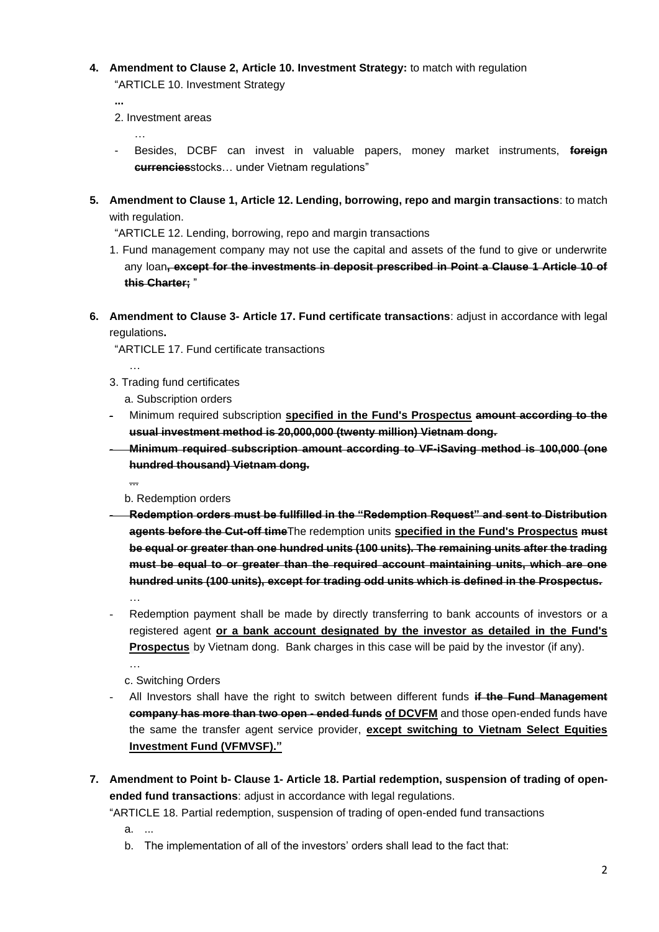**4. Amendment to Clause 2, Article 10. Investment Strategy:** to match with regulation "ARTICLE 10. Investment Strategy

**...**

2. Investment areas

…

- Besides, DCBF can invest in valuable papers, money market instruments, **foreign currencies**stocks… under Vietnam regulations"
- **5. Amendment to Clause 1, Article 12. Lending, borrowing, repo and margin transactions**: to match with regulation.

"ARTICLE 12. Lending, borrowing, repo and margin transactions

- 1. Fund management company may not use the capital and assets of the fund to give or underwrite any loan**, except for the investments in deposit prescribed in Point a Clause 1 Article 10 of this Charter;** "
- **6. Amendment to Clause 3- Article 17. Fund certificate transactions**: adjust in accordance with legal regulations**.**

"ARTICLE 17. Fund certificate transactions

3. Trading fund certificates

…

...

…

…

a. Subscription orders

- Minimum required subscription **specified in the Fund's Prospectus amount according to the usual investment method is 20,000,000 (twenty million) Vietnam dong.**
- **Minimum required subscription amount according to VF-iSaving method is 100,000 (one hundred thousand) Vietnam dong.**

b. Redemption orders

- **Redemption orders must be fullfilled in the "Redemption Request" and sent to Distribution agents before the Cut-off time**The redemption units **specified in the Fund's Prospectus must be equal or greater than one hundred units (100 units). The remaining units after the trading must be equal to or greater than the required account maintaining units, which are one hundred units (100 units), except for trading odd units which is defined in the Prospectus.**
- Redemption payment shall be made by directly transferring to bank accounts of investors or a registered agent **or a bank account designated by the investor as detailed in the Fund's Prospectus** by Vietnam dong.Bank charges in this case will be paid by the investor (if any).

c. Switching Orders

- All Investors shall have the right to switch between different funds **if the Fund Management company has more than two open - ended funds of DCVFM** and those open-ended funds have the same the transfer agent service provider, **except switching to Vietnam Select Equities Investment Fund (VFMVSF)."**
- **7. Amendment to Point b- Clause 1- Article 18. Partial redemption, suspension of trading of openended fund transactions**: adjust in accordance with legal regulations.

"ARTICLE 18. Partial redemption, suspension of trading of open-ended fund transactions

- a. ...
- b. The implementation of all of the investors' orders shall lead to the fact that: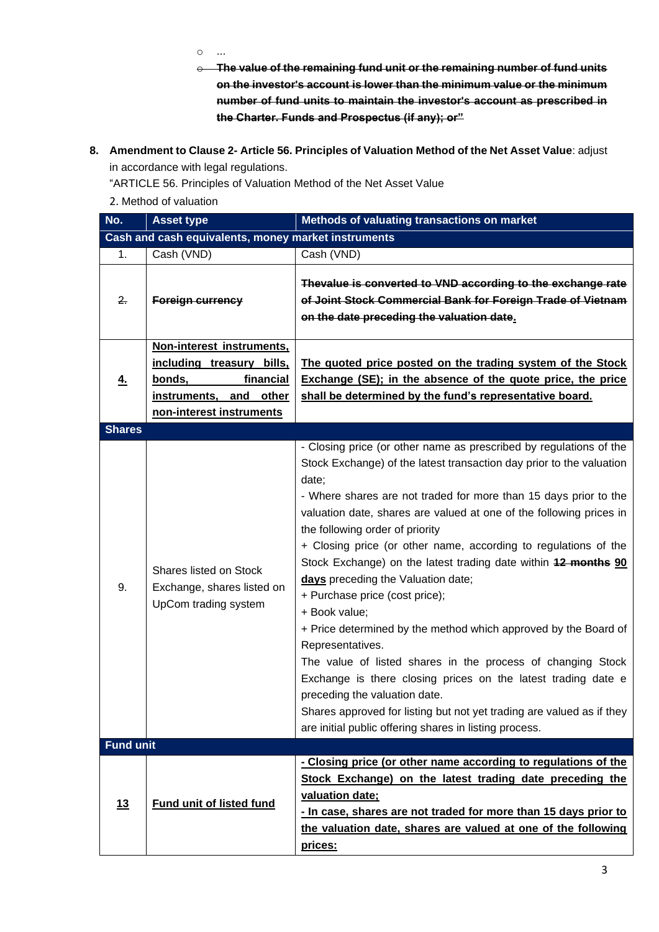o ...

- o **The value of the remaining fund unit or the remaining number of fund units on the investor's account is lower than the minimum value or the minimum number of fund units to maintain the investor's account as prescribed in the Charter. Funds and Prospectus (if any); or"**
- **8. Amendment to Clause 2- Article 56. Principles of Valuation Method of the Net Asset Value**: adjust in accordance with legal regulations.

"ARTICLE 56. Principles of Valuation Method of the Net Asset Value

2. Method of valuation

| No.                                                 | <b>Asset type</b>                                                            | Methods of valuating transactions on market                                                                                                                                                                                                                                                                                                                                                                                                                                                                                                                                                                                                                                                                                                                                                                                                                                                                                                                |  |  |  |
|-----------------------------------------------------|------------------------------------------------------------------------------|------------------------------------------------------------------------------------------------------------------------------------------------------------------------------------------------------------------------------------------------------------------------------------------------------------------------------------------------------------------------------------------------------------------------------------------------------------------------------------------------------------------------------------------------------------------------------------------------------------------------------------------------------------------------------------------------------------------------------------------------------------------------------------------------------------------------------------------------------------------------------------------------------------------------------------------------------------|--|--|--|
| Cash and cash equivalents, money market instruments |                                                                              |                                                                                                                                                                                                                                                                                                                                                                                                                                                                                                                                                                                                                                                                                                                                                                                                                                                                                                                                                            |  |  |  |
| 1.                                                  | Cash (VND)                                                                   | Cash (VND)                                                                                                                                                                                                                                                                                                                                                                                                                                                                                                                                                                                                                                                                                                                                                                                                                                                                                                                                                 |  |  |  |
| 2.                                                  | <b>Foreign currency</b>                                                      | Thevalue is converted to VND according to the exchange rate<br>of Joint Stock Commercial Bank for Foreign Trade of Vietnam<br>on the date preceding the valuation date.                                                                                                                                                                                                                                                                                                                                                                                                                                                                                                                                                                                                                                                                                                                                                                                    |  |  |  |
|                                                     | Non-interest instruments.                                                    |                                                                                                                                                                                                                                                                                                                                                                                                                                                                                                                                                                                                                                                                                                                                                                                                                                                                                                                                                            |  |  |  |
|                                                     | including treasury bills,                                                    | The quoted price posted on the trading system of the Stock                                                                                                                                                                                                                                                                                                                                                                                                                                                                                                                                                                                                                                                                                                                                                                                                                                                                                                 |  |  |  |
| 4.                                                  | financial<br>bonds,                                                          | Exchange (SE); in the absence of the quote price, the price                                                                                                                                                                                                                                                                                                                                                                                                                                                                                                                                                                                                                                                                                                                                                                                                                                                                                                |  |  |  |
|                                                     | other<br>instruments, and                                                    | shall be determined by the fund's representative board.                                                                                                                                                                                                                                                                                                                                                                                                                                                                                                                                                                                                                                                                                                                                                                                                                                                                                                    |  |  |  |
|                                                     | non-interest instruments                                                     |                                                                                                                                                                                                                                                                                                                                                                                                                                                                                                                                                                                                                                                                                                                                                                                                                                                                                                                                                            |  |  |  |
| <b>Shares</b>                                       |                                                                              |                                                                                                                                                                                                                                                                                                                                                                                                                                                                                                                                                                                                                                                                                                                                                                                                                                                                                                                                                            |  |  |  |
| 9.                                                  | Shares listed on Stock<br>Exchange, shares listed on<br>UpCom trading system | - Closing price (or other name as prescribed by regulations of the<br>Stock Exchange) of the latest transaction day prior to the valuation<br>date;<br>- Where shares are not traded for more than 15 days prior to the<br>valuation date, shares are valued at one of the following prices in<br>the following order of priority<br>+ Closing price (or other name, according to regulations of the<br>Stock Exchange) on the latest trading date within 12 months 90<br>days preceding the Valuation date;<br>+ Purchase price (cost price);<br>+ Book value;<br>+ Price determined by the method which approved by the Board of<br>Representatives.<br>The value of listed shares in the process of changing Stock<br>Exchange is there closing prices on the latest trading date e<br>preceding the valuation date.<br>Shares approved for listing but not yet trading are valued as if they<br>are initial public offering shares in listing process. |  |  |  |
| <b>Fund unit</b>                                    |                                                                              |                                                                                                                                                                                                                                                                                                                                                                                                                                                                                                                                                                                                                                                                                                                                                                                                                                                                                                                                                            |  |  |  |
| 13                                                  | <b>Fund unit of listed fund</b>                                              | - Closing price (or other name according to regulations of the<br>Stock Exchange) on the latest trading date preceding the<br>valuation date;<br>- In case, shares are not traded for more than 15 days prior to<br>the valuation date, shares are valued at one of the following<br>prices:                                                                                                                                                                                                                                                                                                                                                                                                                                                                                                                                                                                                                                                               |  |  |  |